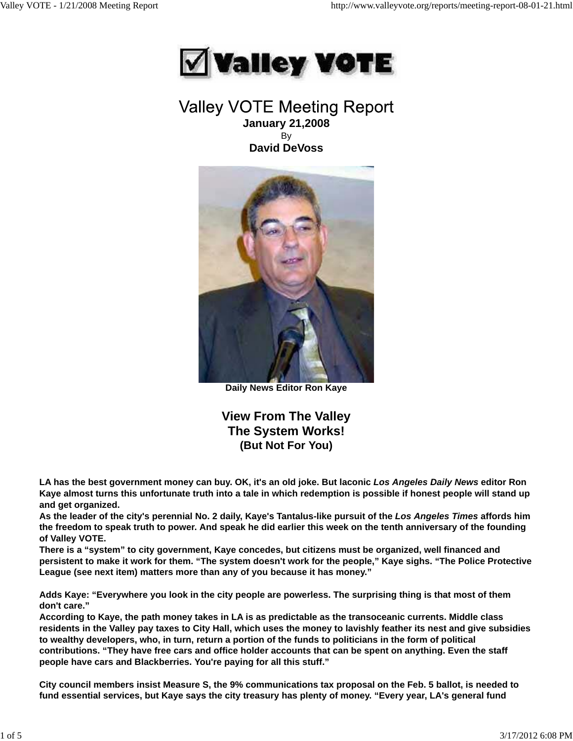

# Valley VOTE Meeting Report **January 21,2008** By **David DeVoss**



**Daily News Editor Ron Kaye**

**View From The Valley The System Works! (But Not For You)**

**LA has the best government money can buy. OK, it's an old joke. But laconic** *Los Angeles Daily News* **editor Ron Kaye almost turns this unfortunate truth into a tale in which redemption is possible if honest people will stand up and get organized.**

**As the leader of the city's perennial No. 2 daily, Kaye's Tantalus-like pursuit of the** *Los Angeles Times* **affords him the freedom to speak truth to power. And speak he did earlier this week on the tenth anniversary of the founding of Valley VOTE.**

**There is a "system" to city government, Kaye concedes, but citizens must be organized, well financed and persistent to make it work for them. "The system doesn't work for the people," Kaye sighs. "The Police Protective League (see next item) matters more than any of you because it has money."**

**Adds Kaye: "Everywhere you look in the city people are powerless. The surprising thing is that most of them don't care."**

**According to Kaye, the path money takes in LA is as predictable as the transoceanic currents. Middle class residents in the Valley pay taxes to City Hall, which uses the money to lavishly feather its nest and give subsidies to wealthy developers, who, in turn, return a portion of the funds to politicians in the form of political contributions. "They have free cars and office holder accounts that can be spent on anything. Even the staff people have cars and Blackberries. You're paying for all this stuff."**

**City council members insist Measure S, the 9% communications tax proposal on the Feb. 5 ballot, is needed to fund essential services, but Kaye says the city treasury has plenty of money. "Every year, LA's general fund**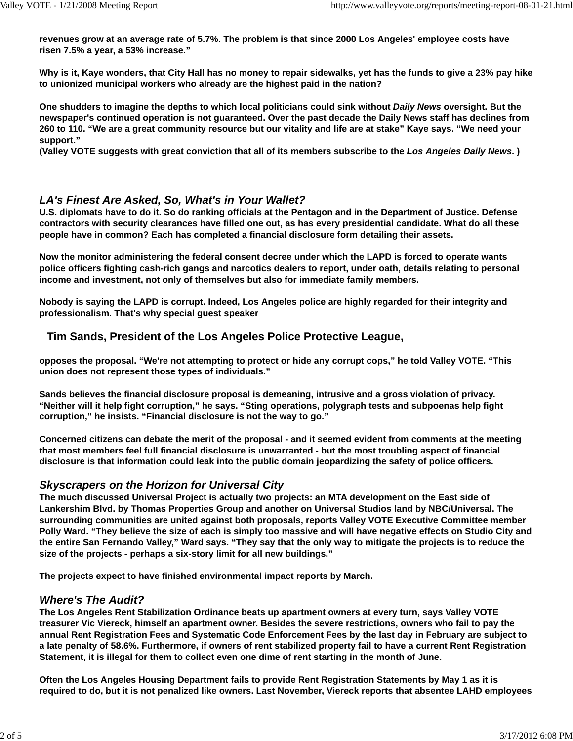**revenues grow at an average rate of 5.7%. The problem is that since 2000 Los Angeles' employee costs have risen 7.5% a year, a 53% increase."**

**Why is it, Kaye wonders, that City Hall has no money to repair sidewalks, yet has the funds to give a 23% pay hike to unionized municipal workers who already are the highest paid in the nation?**

**One shudders to imagine the depths to which local politicians could sink without** *Daily News* **oversight. But the newspaper's continued operation is not guaranteed. Over the past decade the Daily News staff has declines from 260 to 110. "We are a great community resource but our vitality and life are at stake" Kaye says. "We need your support."**

**(Valley VOTE suggests with great conviction that all of its members subscribe to the** *Los Angeles Daily News***. )**

# *LA's Finest Are Asked, So, What's in Your Wallet?*

**U.S. diplomats have to do it. So do ranking officials at the Pentagon and in the Department of Justice. Defense contractors with security clearances have filled one out, as has every presidential candidate. What do all these people have in common? Each has completed a financial disclosure form detailing their assets.**

**Now the monitor administering the federal consent decree under which the LAPD is forced to operate wants police officers fighting cash-rich gangs and narcotics dealers to report, under oath, details relating to personal income and investment, not only of themselves but also for immediate family members.**

**Nobody is saying the LAPD is corrupt. Indeed, Los Angeles police are highly regarded for their integrity and professionalism. That's why special guest speaker**

# **Tim Sands, President of the Los Angeles Police Protective League,**

**opposes the proposal. "We're not attempting to protect or hide any corrupt cops," he told Valley VOTE. "This union does not represent those types of individuals."**

**Sands believes the financial disclosure proposal is demeaning, intrusive and a gross violation of privacy. "Neither will it help fight corruption," he says. "Sting operations, polygraph tests and subpoenas help fight corruption," he insists. "Financial disclosure is not the way to go."**

**Concerned citizens can debate the merit of the proposal - and it seemed evident from comments at the meeting that most members feel full financial disclosure is unwarranted - but the most troubling aspect of financial disclosure is that information could leak into the public domain jeopardizing the safety of police officers.**

# *Skyscrapers on the Horizon for Universal City*

**The much discussed Universal Project is actually two projects: an MTA development on the East side of Lankershim Blvd. by Thomas Properties Group and another on Universal Studios land by NBC/Universal. The surrounding communities are united against both proposals, reports Valley VOTE Executive Committee member Polly Ward. "They believe the size of each is simply too massive and will have negative effects on Studio City and the entire San Fernando Valley," Ward says. "They say that the only way to mitigate the projects is to reduce the size of the projects - perhaps a six-story limit for all new buildings."**

**The projects expect to have finished environmental impact reports by March.**

# *Where's The Audit?*

**The Los Angeles Rent Stabilization Ordinance beats up apartment owners at every turn, says Valley VOTE treasurer Vic Viereck, himself an apartment owner. Besides the severe restrictions, owners who fail to pay the annual Rent Registration Fees and Systematic Code Enforcement Fees by the last day in February are subject to a late penalty of 58.6%. Furthermore, if owners of rent stabilized property fail to have a current Rent Registration Statement, it is illegal for them to collect even one dime of rent starting in the month of June.**

**Often the Los Angeles Housing Department fails to provide Rent Registration Statements by May 1 as it is required to do, but it is not penalized like owners. Last November, Viereck reports that absentee LAHD employees**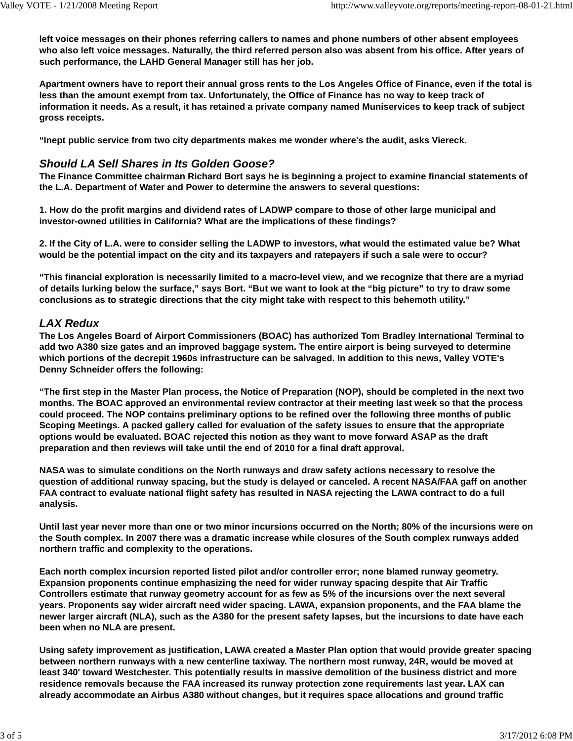**left voice messages on their phones referring callers to names and phone numbers of other absent employees who also left voice messages. Naturally, the third referred person also was absent from his office. After years of such performance, the LAHD General Manager still has her job.**

**Apartment owners have to report their annual gross rents to the Los Angeles Office of Finance, even if the total is less than the amount exempt from tax. Unfortunately, the Office of Finance has no way to keep track of information it needs. As a result, it has retained a private company named Muniservices to keep track of subject gross receipts.**

**"Inept public service from two city departments makes me wonder where's the audit, asks Viereck.**

# *Should LA Sell Shares in Its Golden Goose?*

**The Finance Committee chairman Richard Bort says he is beginning a project to examine financial statements of the L.A. Department of Water and Power to determine the answers to several questions:**

**1. How do the profit margins and dividend rates of LADWP compare to those of other large municipal and investor-owned utilities in California? What are the implications of these findings?**

**2. If the City of L.A. were to consider selling the LADWP to investors, what would the estimated value be? What would be the potential impact on the city and its taxpayers and ratepayers if such a sale were to occur?**

**"This financial exploration is necessarily limited to a macro-level view, and we recognize that there are a myriad of details lurking below the surface," says Bort. "But we want to look at the "big picture" to try to draw some conclusions as to strategic directions that the city might take with respect to this behemoth utility."**

### *LAX Redux*

**The Los Angeles Board of Airport Commissioners (BOAC) has authorized Tom Bradley International Terminal to add two A380 size gates and an improved baggage system. The entire airport is being surveyed to determine which portions of the decrepit 1960s infrastructure can be salvaged. In addition to this news, Valley VOTE's Denny Schneider offers the following:**

**"The first step in the Master Plan process, the Notice of Preparation (NOP), should be completed in the next two months. The BOAC approved an environmental review contractor at their meeting last week so that the process could proceed. The NOP contains preliminary options to be refined over the following three months of public Scoping Meetings. A packed gallery called for evaluation of the safety issues to ensure that the appropriate options would be evaluated. BOAC rejected this notion as they want to move forward ASAP as the draft preparation and then reviews will take until the end of 2010 for a final draft approval.**

**NASA was to simulate conditions on the North runways and draw safety actions necessary to resolve the question of additional runway spacing, but the study is delayed or canceled. A recent NASA/FAA gaff on another FAA contract to evaluate national flight safety has resulted in NASA rejecting the LAWA contract to do a full analysis.**

**Until last year never more than one or two minor incursions occurred on the North; 80% of the incursions were on the South complex. In 2007 there was a dramatic increase while closures of the South complex runways added northern traffic and complexity to the operations.**

**Each north complex incursion reported listed pilot and/or controller error; none blamed runway geometry. Expansion proponents continue emphasizing the need for wider runway spacing despite that Air Traffic Controllers estimate that runway geometry account for as few as 5% of the incursions over the next several years. Proponents say wider aircraft need wider spacing. LAWA, expansion proponents, and the FAA blame the newer larger aircraft (NLA), such as the A380 for the present safety lapses, but the incursions to date have each been when no NLA are present.**

**Using safety improvement as justification, LAWA created a Master Plan option that would provide greater spacing between northern runways with a new centerline taxiway. The northern most runway, 24R, would be moved at least 340' toward Westchester. This potentially results in massive demolition of the business district and more residence removals because the FAA increased its runway protection zone requirements last year. LAX can already accommodate an Airbus A380 without changes, but it requires space allocations and ground traffic**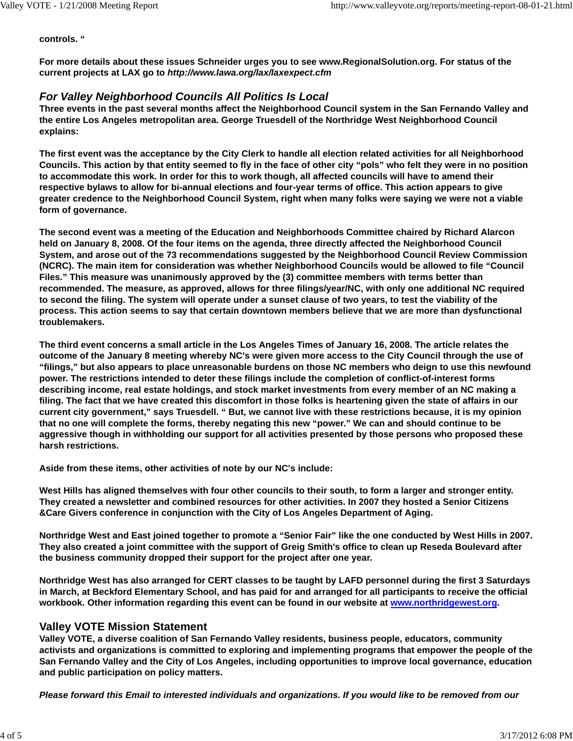#### **controls. "**

**For more details about these issues Schneider urges you to see www.RegionalSolution.org. For status of the current projects at LAX go to** *http://www.lawa.org/lax/laxexpect.cfm*

# *For Valley Neighborhood Councils All Politics Is Local*

**Three events in the past several months affect the Neighborhood Council system in the San Fernando Valley and the entire Los Angeles metropolitan area. George Truesdell of the Northridge West Neighborhood Council explains:**

**The first event was the acceptance by the City Clerk to handle all election related activities for all Neighborhood Councils. This action by that entity seemed to fly in the face of other city "pols" who felt they were in no position to accommodate this work. In order for this to work though, all affected councils will have to amend their respective bylaws to allow for bi-annual elections and four-year terms of office. This action appears to give greater credence to the Neighborhood Council System, right when many folks were saying we were not a viable form of governance.**

**The second event was a meeting of the Education and Neighborhoods Committee chaired by Richard Alarcon held on January 8, 2008. Of the four items on the agenda, three directly affected the Neighborhood Council System, and arose out of the 73 recommendations suggested by the Neighborhood Council Review Commission (NCRC). The main item for consideration was whether Neighborhood Councils would be allowed to file "Council Files." This measure was unanimously approved by the (3) committee members with terms better than recommended. The measure, as approved, allows for three filings/year/NC, with only one additional NC required to second the filing. The system will operate under a sunset clause of two years, to test the viability of the process. This action seems to say that certain downtown members believe that we are more than dysfunctional troublemakers.**

**The third event concerns a small article in the Los Angeles Times of January 16, 2008. The article relates the outcome of the January 8 meeting whereby NC's were given more access to the City Council through the use of "filings," but also appears to place unreasonable burdens on those NC members who deign to use this newfound power. The restrictions intended to deter these filings include the completion of conflict-of-interest forms describing income, real estate holdings, and stock market investments from every member of an NC making a filing. The fact that we have created this discomfort in those folks is heartening given the state of affairs in our current city government," says Truesdell. " But, we cannot live with these restrictions because, it is my opinion that no one will complete the forms, thereby negating this new "power." We can and should continue to be aggressive though in withholding our support for all activities presented by those persons who proposed these harsh restrictions.**

**Aside from these items, other activities of note by our NC's include:**

**West Hills has aligned themselves with four other councils to their south, to form a larger and stronger entity. They created a newsletter and combined resources for other activities. In 2007 they hosted a Senior Citizens &Care Givers conference in conjunction with the City of Los Angeles Department of Aging.**

**Northridge West and East joined together to promote a "Senior Fair" like the one conducted by West Hills in 2007. They also created a joint committee with the support of Greig Smith's office to clean up Reseda Boulevard after the business community dropped their support for the project after one year.**

**Northridge West has also arranged for CERT classes to be taught by LAFD personnel during the first 3 Saturdays in March, at Beckford Elementary School, and has paid for and arranged for all participants to receive the official workbook. Other information regarding this event can be found in our website at www.northridgewest.org.**

# **Valley VOTE Mission Statement**

**Valley VOTE, a diverse coalition of San Fernando Valley residents, business people, educators, community activists and organizations is committed to exploring and implementing programs that empower the people of the San Fernando Valley and the City of Los Angeles, including opportunities to improve local governance, education and public participation on policy matters.**

*Please forward this Email to interested individuals and organizations. If you would like to be removed from our*